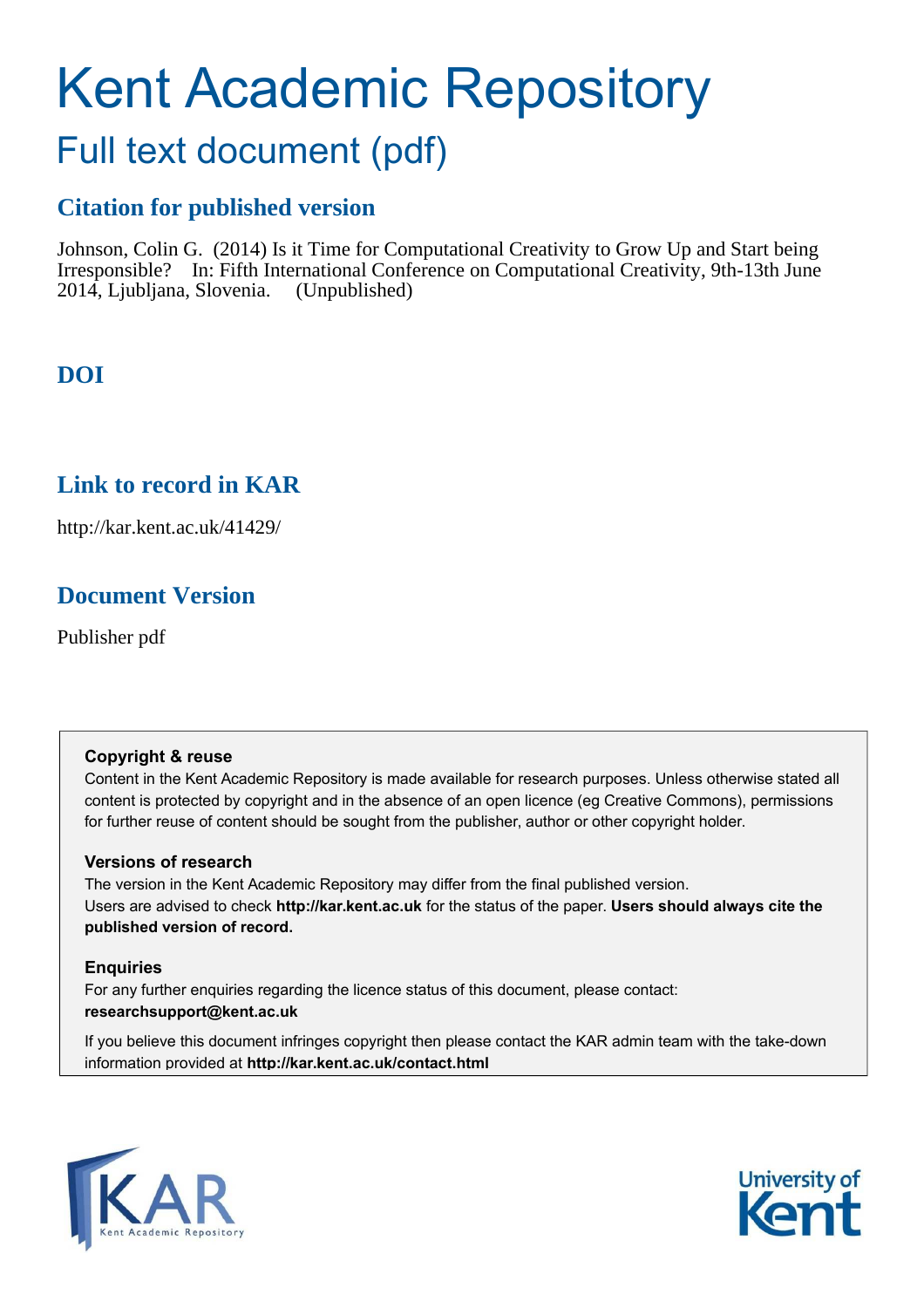# Kent Academic Repository

# Full text document (pdf)

# **Citation for published version**

Johnson, Colin G. (2014) Is it Time for Computational Creativity to Grow Up and Start being Irresponsible? In: Fifth International Conference on Computational Creativity, 9th-13th June 2014, Ljubljana, Slovenia. (Unpublished)

# **DOI**

# **Link to record in KAR**

http://kar.kent.ac.uk/41429/

# **Document Version**

Publisher pdf

## **Copyright & reuse**

Content in the Kent Academic Repository is made available for research purposes. Unless otherwise stated all content is protected by copyright and in the absence of an open licence (eg Creative Commons), permissions for further reuse of content should be sought from the publisher, author or other copyright holder.

## **Versions of research**

The version in the Kent Academic Repository may differ from the final published version. Users are advised to check **http://kar.kent.ac.uk** for the status of the paper. **Users should always cite the published version of record.**

## **Enquiries**

For any further enquiries regarding the licence status of this document, please contact: **researchsupport@kent.ac.uk**

If you believe this document infringes copyright then please contact the KAR admin team with the take-down information provided at **http://kar.kent.ac.uk/contact.html**



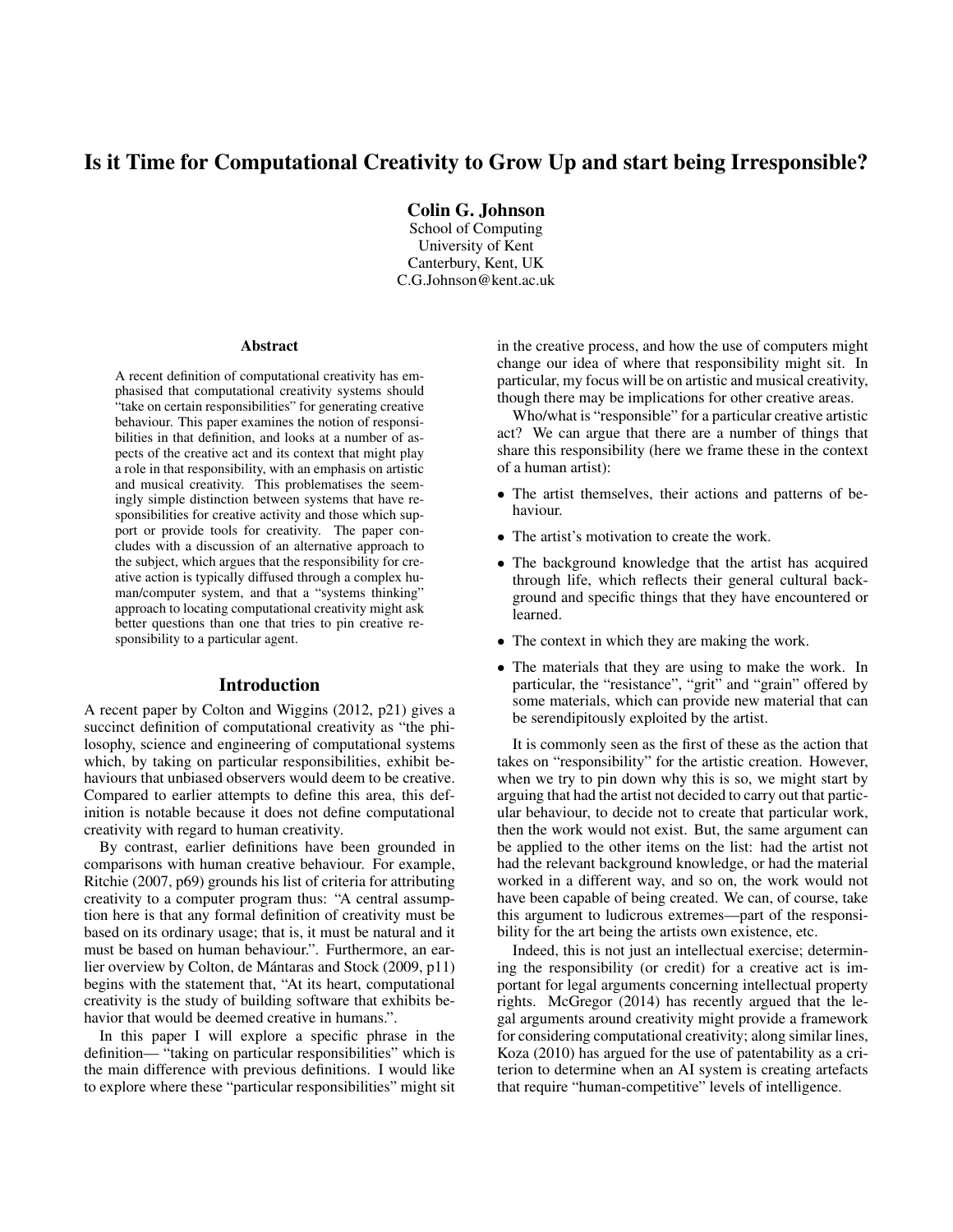## Is it Time for Computational Creativity to Grow Up and start being Irresponsible?

Colin G. Johnson

School of Computing University of Kent Canterbury, Kent, UK C.G.Johnson@kent.ac.uk

#### Abstract

A recent definition of computational creativity has emphasised that computational creativity systems should "take on certain responsibilities" for generating creative behaviour. This paper examines the notion of responsibilities in that definition, and looks at a number of aspects of the creative act and its context that might play a role in that responsibility, with an emphasis on artistic and musical creativity. This problematises the seemingly simple distinction between systems that have responsibilities for creative activity and those which support or provide tools for creativity. The paper concludes with a discussion of an alternative approach to the subject, which argues that the responsibility for creative action is typically diffused through a complex human/computer system, and that a "systems thinking" approach to locating computational creativity might ask better questions than one that tries to pin creative responsibility to a particular agent.

### Introduction

A recent paper by Colton and Wiggins (2012, p21) gives a succinct definition of computational creativity as "the philosophy, science and engineering of computational systems which, by taking on particular responsibilities, exhibit behaviours that unbiased observers would deem to be creative. Compared to earlier attempts to define this area, this definition is notable because it does not define computational creativity with regard to human creativity.

By contrast, earlier definitions have been grounded in comparisons with human creative behaviour. For example, Ritchie (2007, p69) grounds his list of criteria for attributing creativity to a computer program thus: "A central assumption here is that any formal definition of creativity must be based on its ordinary usage; that is, it must be natural and it must be based on human behaviour.". Furthermore, an earlier overview by Colton, de Mántaras and Stock (2009, p11) begins with the statement that, "At its heart, computational creativity is the study of building software that exhibits behavior that would be deemed creative in humans.".

In this paper I will explore a specific phrase in the definition— "taking on particular responsibilities" which is the main difference with previous definitions. I would like to explore where these "particular responsibilities" might sit in the creative process, and how the use of computers might change our idea of where that responsibility might sit. In particular, my focus will be on artistic and musical creativity, though there may be implications for other creative areas.

Who/what is "responsible" for a particular creative artistic act? We can argue that there are a number of things that share this responsibility (here we frame these in the context of a human artist):

- The artist themselves, their actions and patterns of behaviour.
- The artist's motivation to create the work.
- The background knowledge that the artist has acquired through life, which reflects their general cultural background and specific things that they have encountered or learned.
- The context in which they are making the work.
- The materials that they are using to make the work. In particular, the "resistance", "grit" and "grain" offered by some materials, which can provide new material that can be serendipitously exploited by the artist.

It is commonly seen as the first of these as the action that takes on "responsibility" for the artistic creation. However, when we try to pin down why this is so, we might start by arguing that had the artist not decided to carry out that particular behaviour, to decide not to create that particular work, then the work would not exist. But, the same argument can be applied to the other items on the list: had the artist not had the relevant background knowledge, or had the material worked in a different way, and so on, the work would not have been capable of being created. We can, of course, take this argument to ludicrous extremes—part of the responsibility for the art being the artists own existence, etc.

Indeed, this is not just an intellectual exercise; determining the responsibility (or credit) for a creative act is important for legal arguments concerning intellectual property rights. McGregor (2014) has recently argued that the legal arguments around creativity might provide a framework for considering computational creativity; along similar lines, Koza (2010) has argued for the use of patentability as a criterion to determine when an AI system is creating artefacts that require "human-competitive" levels of intelligence.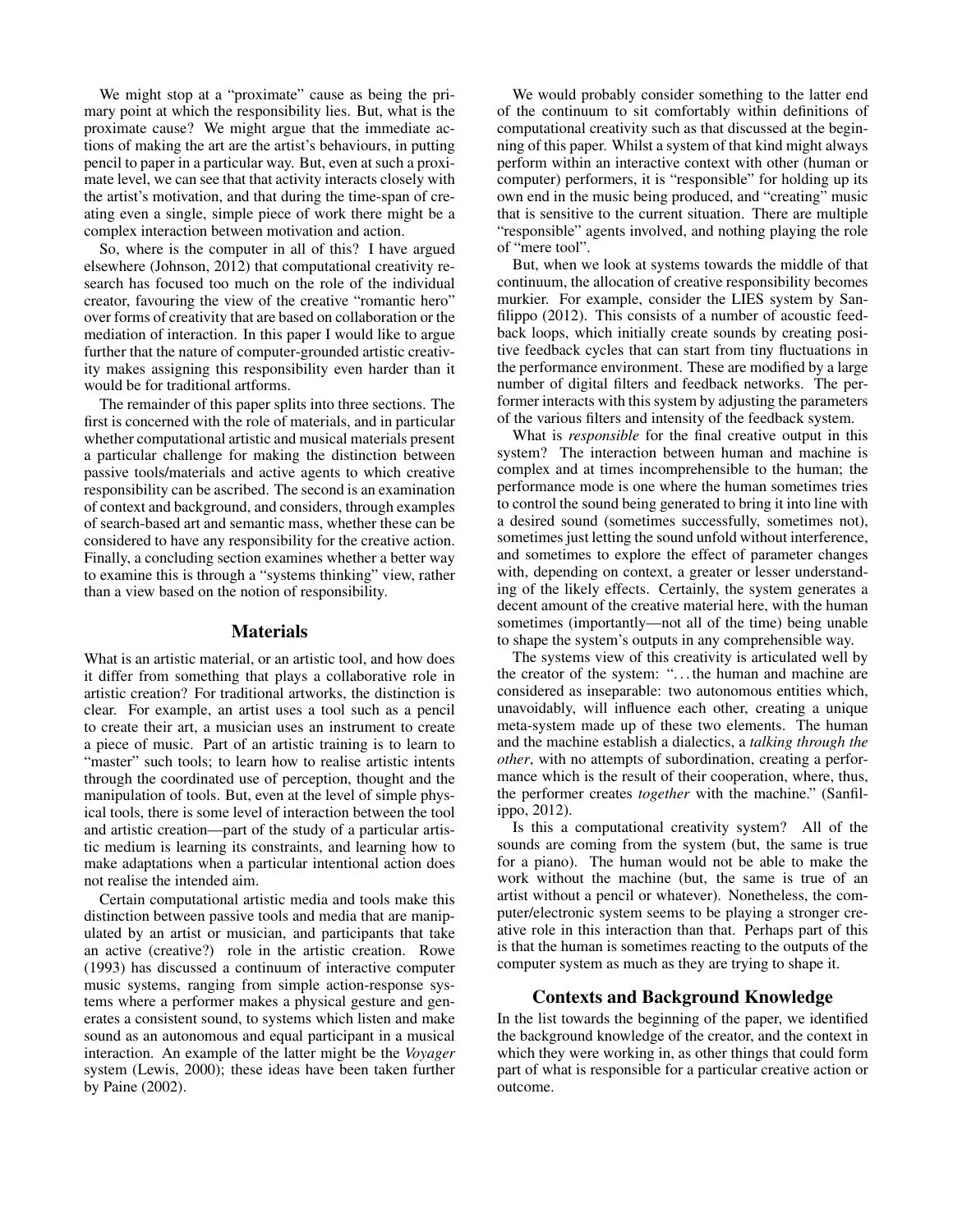We might stop at a "proximate" cause as being the primary point at which the responsibility lies. But, what is the proximate cause? We might argue that the immediate actions of making the art are the artist's behaviours, in putting pencil to paper in a particular way. But, even at such a proximate level, we can see that that activity interacts closely with the artist's motivation, and that during the time-span of creating even a single, simple piece of work there might be a complex interaction between motivation and action.

So, where is the computer in all of this? I have argued elsewhere (Johnson, 2012) that computational creativity research has focused too much on the role of the individual creator, favouring the view of the creative "romantic hero" over forms of creativity that are based on collaboration or the mediation of interaction. In this paper I would like to argue further that the nature of computer-grounded artistic creativity makes assigning this responsibility even harder than it would be for traditional artforms.

The remainder of this paper splits into three sections. The first is concerned with the role of materials, and in particular whether computational artistic and musical materials present a particular challenge for making the distinction between passive tools/materials and active agents to which creative responsibility can be ascribed. The second is an examination of context and background, and considers, through examples of search-based art and semantic mass, whether these can be considered to have any responsibility for the creative action. Finally, a concluding section examines whether a better way to examine this is through a "systems thinking" view, rather than a view based on the notion of responsibility.

#### Materials

What is an artistic material, or an artistic tool, and how does it differ from something that plays a collaborative role in artistic creation? For traditional artworks, the distinction is clear. For example, an artist uses a tool such as a pencil to create their art, a musician uses an instrument to create a piece of music. Part of an artistic training is to learn to "master" such tools; to learn how to realise artistic intents through the coordinated use of perception, thought and the manipulation of tools. But, even at the level of simple physical tools, there is some level of interaction between the tool and artistic creation—part of the study of a particular artistic medium is learning its constraints, and learning how to make adaptations when a particular intentional action does not realise the intended aim.

Certain computational artistic media and tools make this distinction between passive tools and media that are manipulated by an artist or musician, and participants that take an active (creative?) role in the artistic creation. Rowe (1993) has discussed a continuum of interactive computer music systems, ranging from simple action-response systems where a performer makes a physical gesture and generates a consistent sound, to systems which listen and make sound as an autonomous and equal participant in a musical interaction. An example of the latter might be the *Voyager* system (Lewis, 2000); these ideas have been taken further by Paine (2002).

We would probably consider something to the latter end of the continuum to sit comfortably within definitions of computational creativity such as that discussed at the beginning of this paper. Whilst a system of that kind might always perform within an interactive context with other (human or computer) performers, it is "responsible" for holding up its own end in the music being produced, and "creating" music that is sensitive to the current situation. There are multiple "responsible" agents involved, and nothing playing the role of "mere tool".

But, when we look at systems towards the middle of that continuum, the allocation of creative responsibility becomes murkier. For example, consider the LIES system by Sanfilippo (2012). This consists of a number of acoustic feedback loops, which initially create sounds by creating positive feedback cycles that can start from tiny fluctuations in the performance environment. These are modified by a large number of digital filters and feedback networks. The performer interacts with this system by adjusting the parameters of the various filters and intensity of the feedback system.

What is *responsible* for the final creative output in this system? The interaction between human and machine is complex and at times incomprehensible to the human; the performance mode is one where the human sometimes tries to control the sound being generated to bring it into line with a desired sound (sometimes successfully, sometimes not), sometimes just letting the sound unfold without interference, and sometimes to explore the effect of parameter changes with, depending on context, a greater or lesser understanding of the likely effects. Certainly, the system generates a decent amount of the creative material here, with the human sometimes (importantly—not all of the time) being unable to shape the system's outputs in any comprehensible way.

The systems view of this creativity is articulated well by the creator of the system: ". . . the human and machine are considered as inseparable: two autonomous entities which, unavoidably, will influence each other, creating a unique meta-system made up of these two elements. The human and the machine establish a dialectics, a *talking through the other*, with no attempts of subordination, creating a performance which is the result of their cooperation, where, thus, the performer creates *together* with the machine." (Sanfilippo, 2012).

Is this a computational creativity system? All of the sounds are coming from the system (but, the same is true for a piano). The human would not be able to make the work without the machine (but, the same is true of an artist without a pencil or whatever). Nonetheless, the computer/electronic system seems to be playing a stronger creative role in this interaction than that. Perhaps part of this is that the human is sometimes reacting to the outputs of the computer system as much as they are trying to shape it.

### Contexts and Background Knowledge

In the list towards the beginning of the paper, we identified the background knowledge of the creator, and the context in which they were working in, as other things that could form part of what is responsible for a particular creative action or outcome.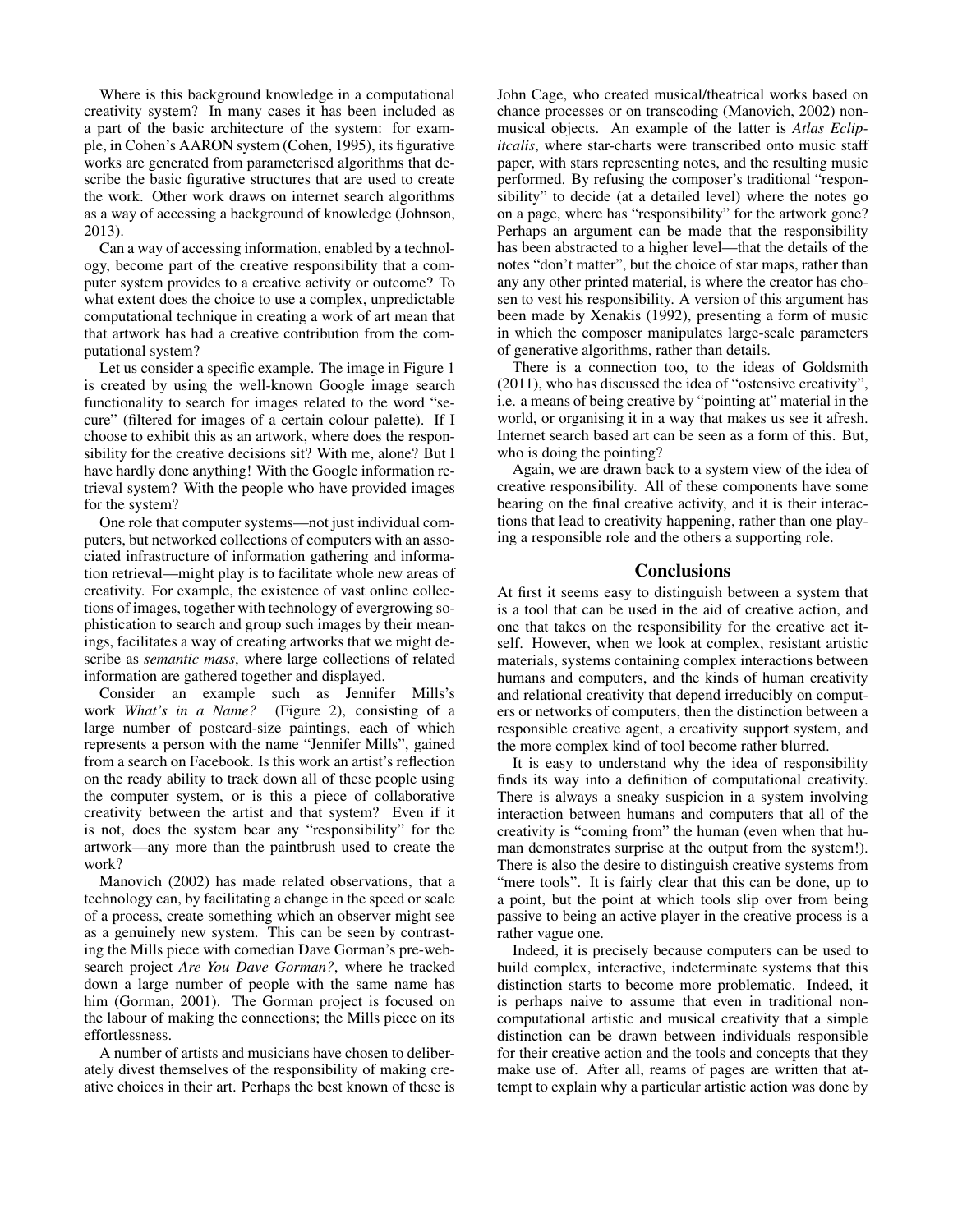Where is this background knowledge in a computational creativity system? In many cases it has been included as a part of the basic architecture of the system: for example, in Cohen's AARON system (Cohen, 1995), its figurative works are generated from parameterised algorithms that describe the basic figurative structures that are used to create the work. Other work draws on internet search algorithms as a way of accessing a background of knowledge (Johnson, 2013).

Can a way of accessing information, enabled by a technology, become part of the creative responsibility that a computer system provides to a creative activity or outcome? To what extent does the choice to use a complex, unpredictable computational technique in creating a work of art mean that that artwork has had a creative contribution from the computational system?

Let us consider a specific example. The image in Figure 1 is created by using the well-known Google image search functionality to search for images related to the word "secure" (filtered for images of a certain colour palette). If I choose to exhibit this as an artwork, where does the responsibility for the creative decisions sit? With me, alone? But I have hardly done anything! With the Google information retrieval system? With the people who have provided images for the system?

One role that computer systems—not just individual computers, but networked collections of computers with an associated infrastructure of information gathering and information retrieval—might play is to facilitate whole new areas of creativity. For example, the existence of vast online collections of images, together with technology of evergrowing sophistication to search and group such images by their meanings, facilitates a way of creating artworks that we might describe as *semantic mass*, where large collections of related information are gathered together and displayed.

Consider an example such as Jennifer Mills's work *What's in a Name?* (Figure 2), consisting of a large number of postcard-size paintings, each of which represents a person with the name "Jennifer Mills", gained from a search on Facebook. Is this work an artist's reflection on the ready ability to track down all of these people using the computer system, or is this a piece of collaborative creativity between the artist and that system? Even if it is not, does the system bear any "responsibility" for the artwork—any more than the paintbrush used to create the work?

Manovich (2002) has made related observations, that a technology can, by facilitating a change in the speed or scale of a process, create something which an observer might see as a genuinely new system. This can be seen by contrasting the Mills piece with comedian Dave Gorman's pre-websearch project *Are You Dave Gorman?*, where he tracked down a large number of people with the same name has him (Gorman, 2001). The Gorman project is focused on the labour of making the connections; the Mills piece on its effortlessness.

A number of artists and musicians have chosen to deliberately divest themselves of the responsibility of making creative choices in their art. Perhaps the best known of these is John Cage, who created musical/theatrical works based on chance processes or on transcoding (Manovich, 2002) nonmusical objects. An example of the latter is *Atlas Eclipitcalis*, where star-charts were transcribed onto music staff paper, with stars representing notes, and the resulting music performed. By refusing the composer's traditional "responsibility" to decide (at a detailed level) where the notes go on a page, where has "responsibility" for the artwork gone? Perhaps an argument can be made that the responsibility has been abstracted to a higher level—that the details of the notes "don't matter", but the choice of star maps, rather than any any other printed material, is where the creator has chosen to vest his responsibility. A version of this argument has been made by Xenakis (1992), presenting a form of music in which the composer manipulates large-scale parameters of generative algorithms, rather than details.

There is a connection too, to the ideas of Goldsmith (2011), who has discussed the idea of "ostensive creativity", i.e. a means of being creative by "pointing at" material in the world, or organising it in a way that makes us see it afresh. Internet search based art can be seen as a form of this. But, who is doing the pointing?

Again, we are drawn back to a system view of the idea of creative responsibility. All of these components have some bearing on the final creative activity, and it is their interactions that lead to creativity happening, rather than one playing a responsible role and the others a supporting role.

### **Conclusions**

At first it seems easy to distinguish between a system that is a tool that can be used in the aid of creative action, and one that takes on the responsibility for the creative act itself. However, when we look at complex, resistant artistic materials, systems containing complex interactions between humans and computers, and the kinds of human creativity and relational creativity that depend irreducibly on computers or networks of computers, then the distinction between a responsible creative agent, a creativity support system, and the more complex kind of tool become rather blurred.

It is easy to understand why the idea of responsibility finds its way into a definition of computational creativity. There is always a sneaky suspicion in a system involving interaction between humans and computers that all of the creativity is "coming from" the human (even when that human demonstrates surprise at the output from the system!). There is also the desire to distinguish creative systems from "mere tools". It is fairly clear that this can be done, up to a point, but the point at which tools slip over from being passive to being an active player in the creative process is a rather vague one.

Indeed, it is precisely because computers can be used to build complex, interactive, indeterminate systems that this distinction starts to become more problematic. Indeed, it is perhaps naive to assume that even in traditional noncomputational artistic and musical creativity that a simple distinction can be drawn between individuals responsible for their creative action and the tools and concepts that they make use of. After all, reams of pages are written that attempt to explain why a particular artistic action was done by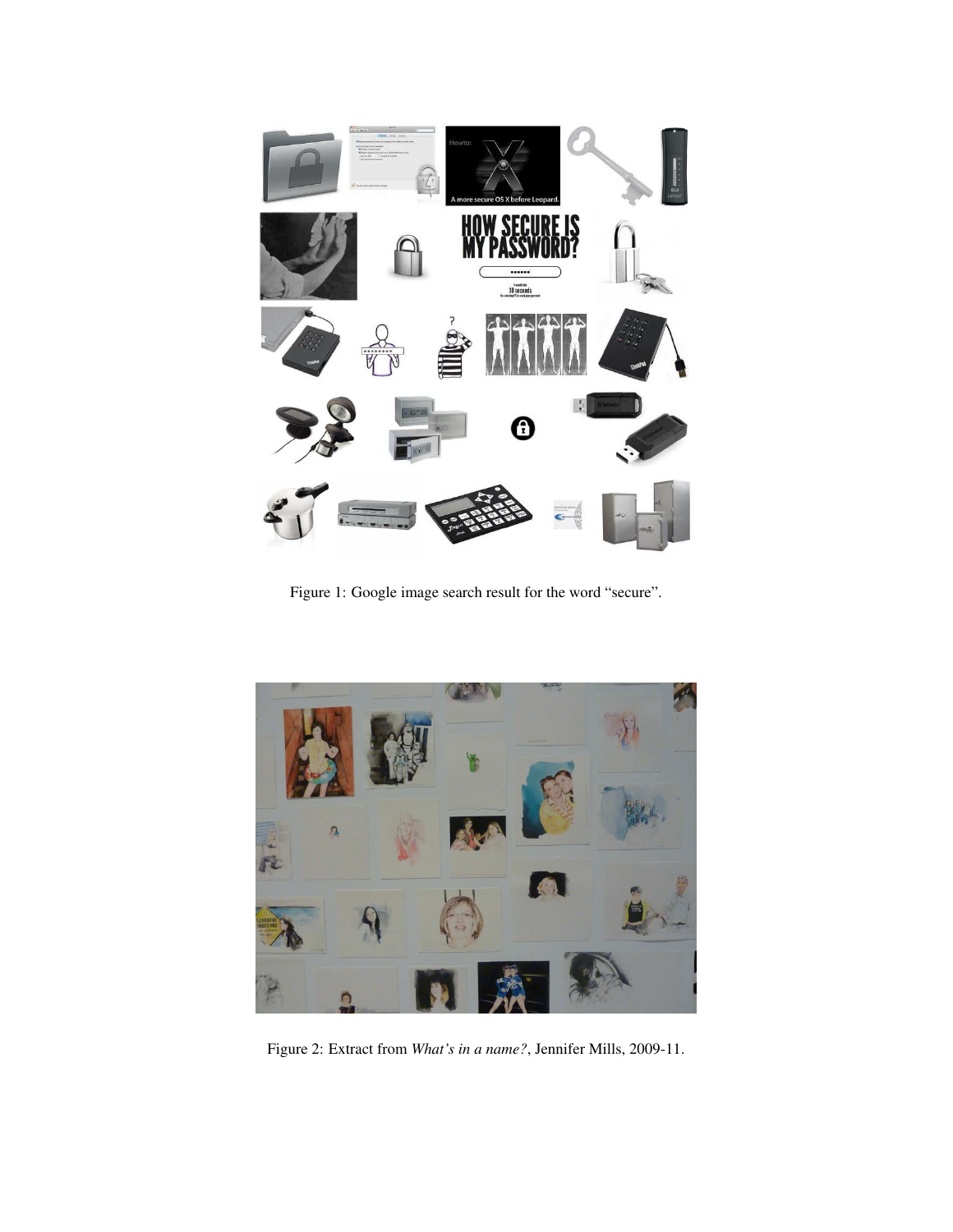

Figure 1: Google image search result for the word "secure".



Figure 2: Extract from *What's in a name?*, Jennifer Mills, 2009-11.